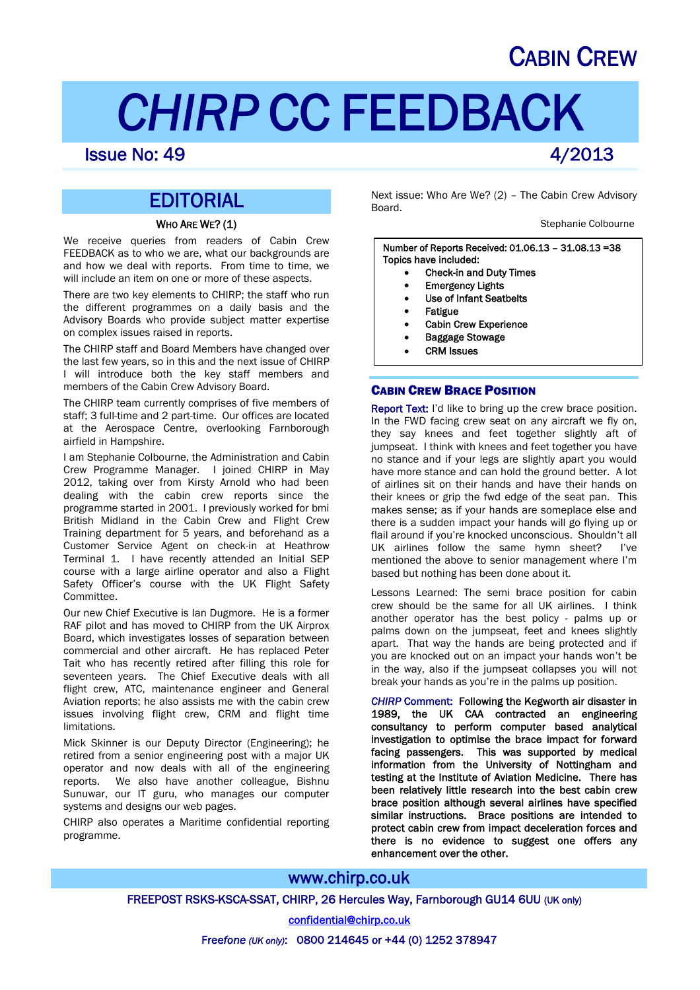## CABIN CREW

# *CHIRP* CC FEEDBACK

### **Issue No: 49 4/2013**

## EDITORIAL

#### WHO ARE WE? (1)

We receive queries from readers of Cabin Crew FEEDBACK as to who we are, what our backgrounds are and how we deal with reports. From time to time, we will include an item on one or more of these aspects.

There are two key elements to CHIRP; the staff who run the different programmes on a daily basis and the Advisory Boards who provide subject matter expertise on complex issues raised in reports.

The CHIRP staff and Board Members have changed over the last few years, so in this and the next issue of CHIRP I will introduce both the key staff members and members of the Cabin Crew Advisory Board.

The CHIRP team currently comprises of five members of staff; 3 full-time and 2 part-time. Our offices are located at the Aerospace Centre, overlooking Farnborough airfield in Hampshire.

I am Stephanie Colbourne, the Administration and Cabin Crew Programme Manager. I joined CHIRP in May 2012, taking over from Kirsty Arnold who had been dealing with the cabin crew reports since the programme started in 2001. I previously worked for bmi British Midland in the Cabin Crew and Flight Crew Training department for 5 years, and beforehand as a Customer Service Agent on check-in at Heathrow Terminal 1. I have recently attended an Initial SEP course with a large airline operator and also a Flight Safety Officer's course with the UK Flight Safety Committee.

Our new Chief Executive is Ian Dugmore. He is a former RAF pilot and has moved to CHIRP from the UK Airprox Board, which investigates losses of separation between commercial and other aircraft. He has replaced Peter Tait who has recently retired after filling this role for seventeen years. The Chief Executive deals with all flight crew, ATC, maintenance engineer and General Aviation reports; he also assists me with the cabin crew issues involving flight crew, CRM and flight time limitations.

Mick Skinner is our Deputy Director (Engineering); he retired from a senior engineering post with a major UK operator and now deals with all of the engineering reports. We also have another colleague, Bishnu Sunuwar, our IT guru, who manages our computer systems and designs our web pages.

CHIRP also operates a Maritime confidential reporting programme.

Next issue: Who Are We? (2) – The Cabin Crew Advisory Board.

Stephanie Colbourne

Number of Reports Received: 01.06.13 – 31.08.13 =38 Topics have included:

- Check-in and Duty Times
- Emergency Lights
- Use of Infant Seatbelts
- Fatigue
- Cabin Crew Experience
- Baggage Stowage
- CRM Issues

#### CABIN CREW BRACE POSITION

Report Text: I'd like to bring up the crew brace position. In the FWD facing crew seat on any aircraft we fly on, they say knees and feet together slightly aft of jumpseat. I think with knees and feet together you have no stance and if your legs are slightly apart you would have more stance and can hold the ground better. A lot of airlines sit on their hands and have their hands on their knees or grip the fwd edge of the seat pan. This makes sense; as if your hands are someplace else and there is a sudden impact your hands will go flying up or flail around if you're knocked unconscious. Shouldn't all UK airlines follow the same hymn sheet? I've mentioned the above to senior management where I'm based but nothing has been done about it.

Lessons Learned: The semi brace position for cabin crew should be the same for all UK airlines. I think another operator has the best policy - palms up or palms down on the jumpseat, feet and knees slightly apart. That way the hands are being protected and if you are knocked out on an impact your hands won't be in the way, also if the jumpseat collapses you will not break your hands as you're in the palms up position.

*CHIRP* Comment: Following the Kegworth air disaster in 1989, the UK CAA contracted an engineering consultancy to perform computer based analytical investigation to optimise the brace impact for forward facing passengers. This was supported by medical information from the University of Nottingham and testing at the Institute of Aviation Medicine. There has been relatively little research into the best cabin crew brace position although several airlines have specified similar instructions. Brace positions are intended to protect cabin crew from impact deceleration forces and there is no evidence to suggest one offers any enhancement over the other.

#### www.chirp.co.uk

FREEPOST RSKS-KSCA-SSAT, CHIRP, 26 Hercules Way, Farnborough GU14 6UU (UK only)

confidential@chirp.co.uk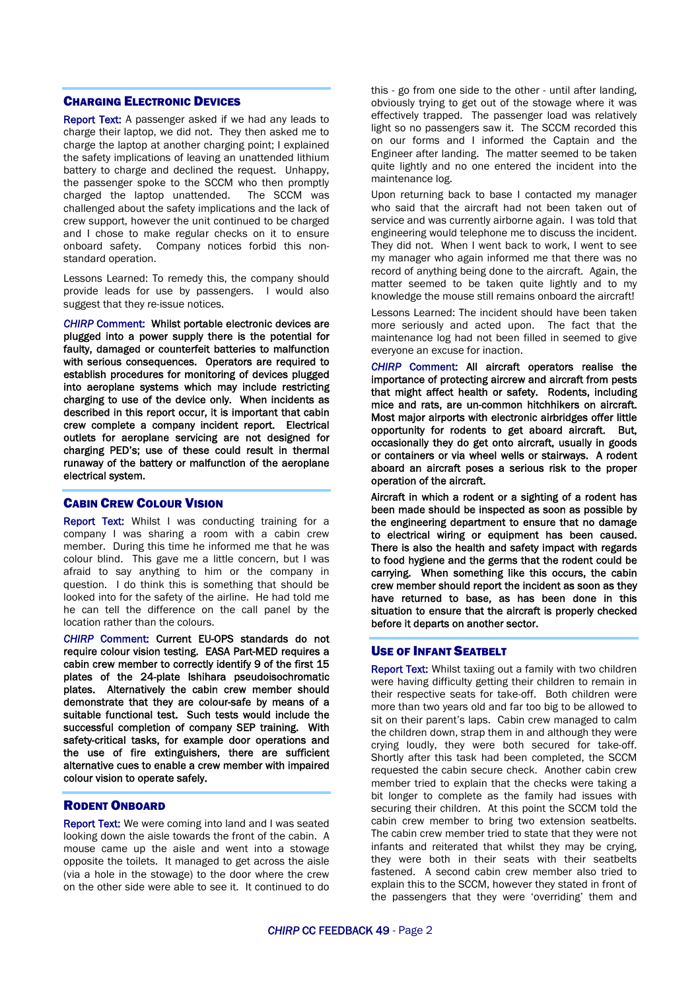#### CHARGING ELECTRONIC DEVICES

Report Text: A passenger asked if we had any leads to charge their laptop, we did not. They then asked me to charge the laptop at another charging point; I explained the safety implications of leaving an unattended lithium battery to charge and declined the request. Unhappy, the passenger spoke to the SCCM who then promptly charged the laptop unattended. The SCCM was challenged about the safety implications and the lack of crew support, however the unit continued to be charged and I chose to make regular checks on it to ensure onboard safety. Company notices forbid this nonstandard operation.

Lessons Learned: To remedy this, the company should provide leads for use by passengers. I would also suggest that they re-issue notices.

*CHIRP* Comment: Whilst portable electronic devices are plugged into a power supply there is the potential for faulty, damaged or counterfeit batteries to malfunction with serious consequences. Operators are required to establish procedures for monitoring of devices plugged into aeroplane systems which may include restricting charging to use of the device only. When incidents as described in this report occur, it is important that cabin crew complete a company incident report. Electrical outlets for aeroplane servicing are not designed for charging PED's; use of these could result in thermal runaway of the battery or malfunction of the aeroplane electrical system.

#### CABIN CREW COLOUR VISION

Report Text: Whilst I was conducting training for a company I was sharing a room with a cabin crew member. During this time he informed me that he was colour blind. This gave me a little concern, but I was afraid to say anything to him or the company in question. I do think this is something that should be looked into for the safety of the airline. He had told me he can tell the difference on the call panel by the location rather than the colours.

*CHIRP* Comment: Current EU-OPS standards do not require colour vision testing. EASA Part-MED requires a cabin crew member to correctly identify 9 of the first 15 plates of the 24-plate Ishihara pseudoisochromatic plates. Alternatively the cabin crew member should demonstrate that they are colour-safe by means of a suitable functional test. Such tests would include the successful completion of company SEP training. With safety-critical tasks, for example door operations and the use of fire extinguishers, there are sufficient alternative cues to enable a crew member with impaired colour vision to operate safely.

#### RODENT ONBOARD

Report Text: We were coming into land and I was seated looking down the aisle towards the front of the cabin. A mouse came up the aisle and went into a stowage opposite the toilets. It managed to get across the aisle (via a hole in the stowage) to the door where the crew on the other side were able to see it. It continued to do this - go from one side to the other - until after landing, obviously trying to get out of the stowage where it was effectively trapped. The passenger load was relatively light so no passengers saw it. The SCCM recorded this on our forms and I informed the Captain and the Engineer after landing. The matter seemed to be taken quite lightly and no one entered the incident into the maintenance log.

Upon returning back to base I contacted my manager who said that the aircraft had not been taken out of service and was currently airborne again. I was told that engineering would telephone me to discuss the incident. They did not. When I went back to work, I went to see my manager who again informed me that there was no record of anything being done to the aircraft. Again, the matter seemed to be taken quite lightly and to my knowledge the mouse still remains onboard the aircraft!

Lessons Learned: The incident should have been taken more seriously and acted upon. The fact that the maintenance log had not been filled in seemed to give everyone an excuse for inaction.

*CHIRP* Comment: All aircraft operators realise the importance of protecting aircrew and aircraft from pests that might affect health or safety. Rodents, including mice and rats, are un-common hitchhikers on aircraft. Most major airports with electronic airbridges offer little opportunity for rodents to get aboard aircraft. But, occasionally they do get onto aircraft, usually in goods or containers or via wheel wells or stairways. A rodent aboard an aircraft poses a serious risk to the proper operation of the aircraft.

Aircraft in which a rodent or a sighting of a rodent has been made should be inspected as soon as possible by the engineering department to ensure that no damage to electrical wiring or equipment has been caused. There is also the health and safety impact with regards to food hygiene and the germs that the rodent could be carrying. When something like this occurs, the cabin crew member should report the incident as soon as they have returned to base, as has been done in this situation to ensure that the aircraft is properly checked before it departs on another sector.

#### USE OF INFANT SEATBELT

**Report Text:** Whilst taxiing out a family with two children were having difficulty getting their children to remain in their respective seats for take-off. Both children were more than two years old and far too big to be allowed to sit on their parent's laps. Cabin crew managed to calm the children down, strap them in and although they were crying loudly, they were both secured for take-off. Shortly after this task had been completed, the SCCM requested the cabin secure check. Another cabin crew member tried to explain that the checks were taking a bit longer to complete as the family had issues with securing their children. At this point the SCCM told the cabin crew member to bring two extension seatbelts. The cabin crew member tried to state that they were not infants and reiterated that whilst they may be crying, they were both in their seats with their seatbelts fastened. A second cabin crew member also tried to explain this to the SCCM, however they stated in front of the passengers that they were 'overriding' them and